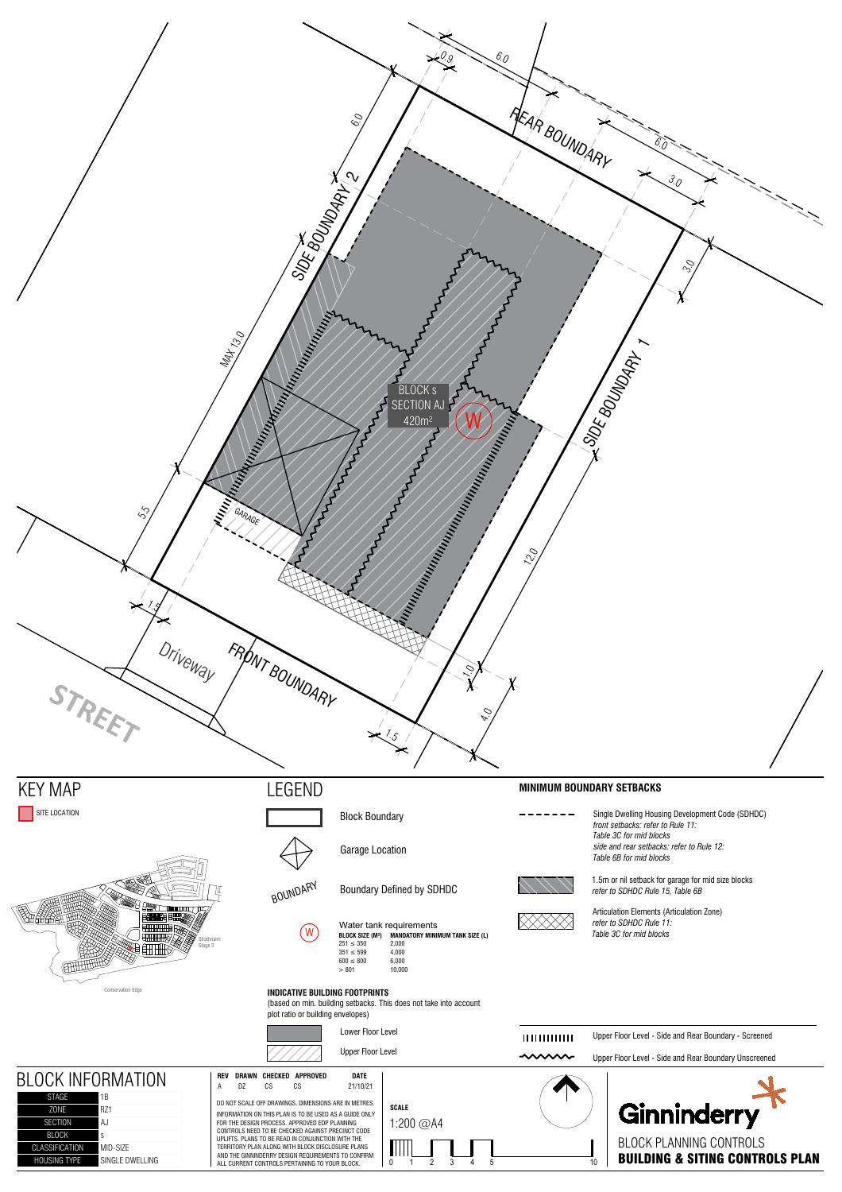